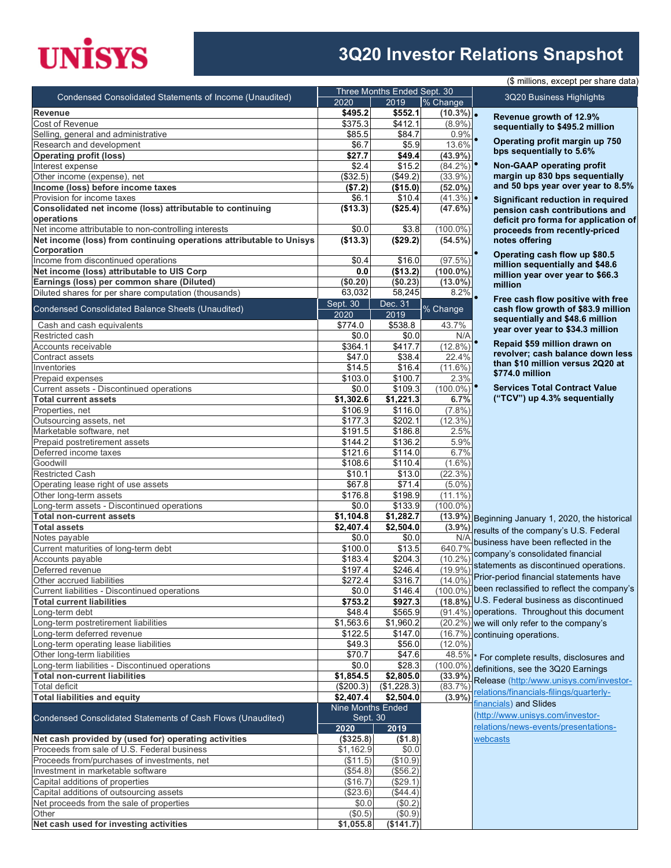# **UNISYS**

#### **3Q20 Investor Relations Snapshot**

|                                                                                    | Three Months Ended Sept. 30 |                      |                               |                      |  |
|------------------------------------------------------------------------------------|-----------------------------|----------------------|-------------------------------|----------------------|--|
| Condensed Consolidated Statements of Income (Unaudited)                            | 2020                        | 2019                 | % Change                      |                      |  |
| Revenue                                                                            | \$495.2                     | \$552.1              | $(10.3\%)$ .                  |                      |  |
| Cost of Revenue                                                                    | \$375.3                     | \$412.1              | $(8.9\%)$                     |                      |  |
| Selling, general and administrative                                                | \$85.5                      | \$84.7               | 0.9%                          |                      |  |
| Research and development                                                           | \$6.7                       | \$5.9                | 13.6%                         |                      |  |
| <b>Operating profit (loss)</b>                                                     | \$27.7                      | \$49.4               | $(43.9\%)$                    |                      |  |
| Interest expense                                                                   | \$2.4                       | \$15.2               | $(84.2\%)$                    |                      |  |
| Other income (expense), net                                                        | $($ \$32.5)                 | (\$49.2)             | $(33.9\%)$                    |                      |  |
| Income (loss) before income taxes                                                  | (\$7.2)                     | (\$15.0)             | $(52.0\%)$                    |                      |  |
| Provision for income taxes                                                         | \$6.1                       | \$10.4               | $(41.3\%)$ •                  |                      |  |
| Consolidated net income (loss) attributable to continuing<br>operations            | (\$13.3)                    | (\$25.4)             | $(47.6\%)$                    |                      |  |
| Net income attributable to non-controlling interests                               | \$0.0                       | \$3.8                | $(100.0\%)$                   |                      |  |
| Net income (loss) from continuing operations attributable to Unisys<br>Corporation | (\$13.3)                    | (\$29.2)             | $(54.5\%)$                    |                      |  |
| Income from discontinued operations                                                | \$0.4                       | \$16.0               | (97.5%)                       |                      |  |
| Net income (loss) attributable to UIS Corp                                         | 0.0                         | (\$13.2)             | $(100.0\%)$                   |                      |  |
| Earnings (loss) per common share (Diluted)                                         | (\$0.20)                    | (\$0.23)             | $(13.0\%)$                    |                      |  |
| Diluted shares for per share computation (thousands)                               | 63,032                      | 58,245               | 8.2%                          |                      |  |
|                                                                                    | Sept. 30                    | Dec. 31              |                               |                      |  |
| Condensed Consolidated Balance Sheets (Unaudited)                                  | 2020                        | 2019                 | % Change                      |                      |  |
| Cash and cash equivalents                                                          | \$774.0                     | \$538.8              | 43.7%                         |                      |  |
| Restricted cash                                                                    | \$0.0                       | \$0.0                | N/A                           |                      |  |
| Accounts receivable                                                                | \$364.1                     | \$417.7              | (12.8%                        |                      |  |
| Contract assets                                                                    | \$47.0                      | \$38.4               | 22.4%                         |                      |  |
| Inventories                                                                        | \$14.5                      | \$16.4               | $(11.6\%)$                    |                      |  |
| Prepaid expenses                                                                   | \$103.0                     | \$100.7              | 2.3%                          |                      |  |
| Current assets - Discontinued operations                                           | \$0.0                       | \$109.3              | $(100.0\%)$                   |                      |  |
| <b>Total current assets</b><br>Properties, net                                     | \$1,302.6<br>\$106.9        | \$1,221.3<br>\$116.0 | 6.7%                          |                      |  |
| Outsourcing assets, net                                                            | \$177.3                     | \$202.1              | (7.8%)<br>$(12.3\%)$          |                      |  |
| Marketable software, net                                                           | \$191.5                     | \$186.8              | 2.5%                          |                      |  |
| Prepaid postretirement assets                                                      | \$144.2                     | \$136.2              | 5.9%                          |                      |  |
| Deferred income taxes                                                              | \$121.6                     | \$114.0              | 6.7%                          |                      |  |
| Goodwill                                                                           | \$108.6                     | \$110.4              | $(1.6\%)$                     |                      |  |
| <b>Restricted Cash</b>                                                             | \$10.1                      | \$13.0               | (22.3%)                       |                      |  |
| Operating lease right of use assets                                                | \$67.8                      | \$71.4               | $(5.0\%)$                     |                      |  |
| Other long-term assets                                                             | \$176.8                     | \$198.9              | $(11.1\%)$                    |                      |  |
| Long-term assets - Discontinued operations                                         | \$0.0                       | \$133.9              | $(100.0\%)$                   |                      |  |
| <b>Total non-current assets</b>                                                    | \$1,104.8                   | \$1,282.7            | (13.9%) Beg                   |                      |  |
| <b>Total assets</b>                                                                | \$2,407.4                   | \$2,504.0            | $(3.9\%)$                     | resu                 |  |
| Notes payable                                                                      | \$0.0                       | \$0.0                | N/A                           | busi                 |  |
| Current maturities of long-term debt                                               | \$100.0                     | \$13.5               | 640.7%                        | com                  |  |
| Accounts payable                                                                   | \$183.4                     | \$204.3              | $(10.2\%)$                    |                      |  |
| Deferred revenue                                                                   | \$197.4                     | \$246.4              | $(19.9\%)$ <sup>state</sup>   | Prio                 |  |
| Other accrued liabilities<br>Current liabilities - Discontinued operations         | \$272.4                     | \$316.7              | $(14.0\%)$<br>$(100.0\%)$ bee |                      |  |
| <b>Total current liabilities</b>                                                   | \$0.0<br>\$753.2            | \$146.4<br>\$927.3   | $(18.8\%)$ U.S                |                      |  |
| Long-term debt                                                                     | \$48.4                      |                      | (91.4%) ope                   |                      |  |
| Long-term postretirement liabilities                                               | \$1,563.6                   | \$565.9<br>\$1,960.2 | $(20.2\%)$ we v               |                      |  |
| Long-term deferred revenue                                                         | \$122.5                     | \$147.0              | $(16.7%)$ cont                |                      |  |
| Long-term operating lease liabilities                                              | \$49.3                      | \$56.0               | $(12.0\%)$                    |                      |  |
| Other long-term liabilities                                                        | \$70.7                      | \$47.6               | 48.5% * Fo                    |                      |  |
| Long-term liabilities - Discontinued operations                                    | \$0.0                       | \$28.3               | $(100.0\%)$ defir             |                      |  |
| <b>Total non-current liabilities</b>                                               | \$1,854.5                   | \$2,805.0            | (33.9%)                       |                      |  |
| <b>Total deficit</b>                                                               | (\$200.3)                   | (\$1,228.3)          | (83.7%                        | Rele                 |  |
| <b>Total liabilities and equity</b>                                                | \$2,407.4                   | \$2,504.0            | (3.9%)                        | <u>relat</u>         |  |
|                                                                                    | Nine Months Ended           |                      |                               | <u>finai</u>         |  |
| Condensed Consolidated Statements of Cash Flows (Unaudited)                        | Sept. 30<br>2020            | 2019                 |                               | <u>(http</u><br>rela |  |
| Net cash provided by (used for) operating activities                               | (\$325.8)                   | ( \$1.8)             |                               | web                  |  |
| Proceeds from sale of U.S. Federal business                                        | \$1,162.9                   | \$0.0                |                               |                      |  |
| Proceeds from/purchases of investments, net                                        | (\$11.5)                    | (\$10.9)             |                               |                      |  |
| Investment in marketable software                                                  | (\$54.8)                    | (\$56.2)             |                               |                      |  |
| Capital additions of properties                                                    | (\$16.7)                    | (\$29.1)             |                               |                      |  |
| Capital additions of outsourcing assets                                            | (\$23.6)                    | (\$44.4)             |                               |                      |  |
| Net proceeds from the sale of properties                                           | \$0.0                       | (\$0.2)              |                               |                      |  |
| Other                                                                              | (\$0.5)                     | (\$0.9)              |                               |                      |  |
| Net cash used for investing activities                                             | \$1,055.8                   | (\$141.7)            |                               |                      |  |

(\$ millions, except per share data)

3Q20 Business Highlights

**Revenue growth of 12.9% sequentially to \$495.2 million**

• **Operating profit margin up 750 bps sequentially to 5.6%**

• **Non-GAAP operating profit margin up 830 bps sequentially and 50 bps year over year to 8.5%**

• **Significant reduction in required pension cash contributions and deficit pro forma for application of proceeds from recently-priced notes offering** 

• **Operating cash flow up \$80.5 million sequentially and \$48.6 million year over year to \$66.3 million**

• **Free cash flow positive with free cash flow growth of \$83.9 million sequentially and \$48.6 million year over year to \$34.3 million**

• **Repaid \$59 million drawn on revolver; cash balance down less than \$10 million versus 2Q20 at \$774.0 million**

• **Services Total Contract Value ("TCV") up 4.3% sequentially**

inning January 1, 2020, the historical llts of the company's U.S. Federal iness have been reflected in the pany's consolidated financial ements as discontinued operations. r-period financial statements have n reclassified to reflect the company's Federal business as discontinued rations. Throughout this document will only refer to the company's tinuing operations.

r complete results, disclosures and  $n$ itions, see the  $3Q20$  Earnings ease [\(http:/www.unisys.com/investor](http://www.unisys.com/investor-relations/financials-filings)tions/financials-filings/quarterlyncials) and Slides [\(http://www.unisys.com/investor](http://www.unisys.com/investor-relations/news-events/presentations-webcasts)tions/news-events/presentationscasts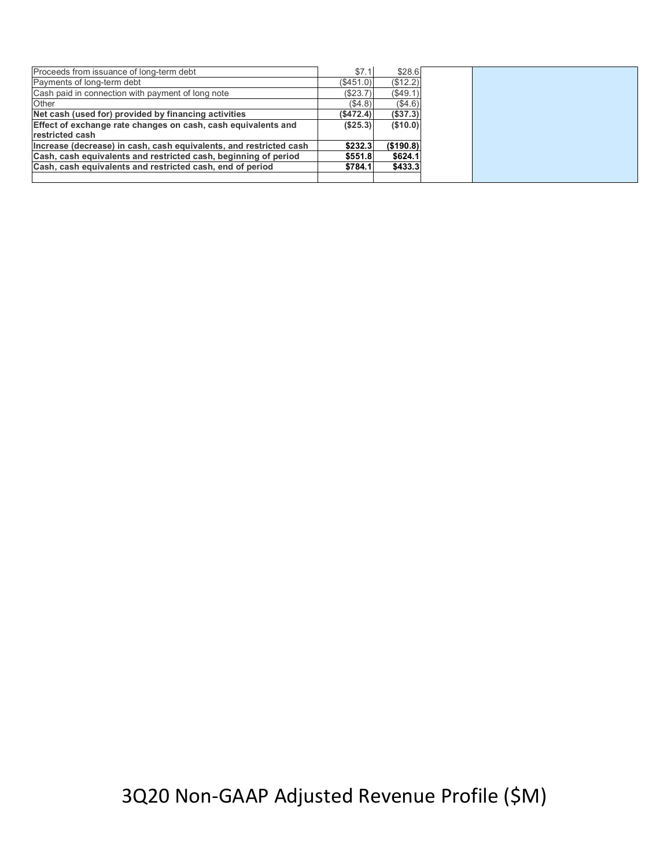| Proceeds from issuance of long-term debt                           | \$7.1     | \$28.6     |
|--------------------------------------------------------------------|-----------|------------|
| Payments of long-term debt                                         | (S451.0)  | (\$12.2)   |
| Cash paid in connection with payment of long note                  | (\$23.7)  | (\$49.1)   |
| Other                                                              | (S4.8)    | (\$4.6)    |
| Net cash (used for) provided by financing activities               | (\$472.4) | (\$37.3)   |
| Effect of exchange rate changes on cash, cash equivalents and      | (\$25.3)  | ( \$10.0)  |
| restricted cash                                                    |           |            |
| Increase (decrease) in cash, cash equivalents, and restricted cash | \$232.3   | ( \$190.8) |
| Cash, cash equivalents and restricted cash, beginning of period    | \$551.8   | \$624.1    |
| Cash, cash equivalents and restricted cash, end of period          | \$784.1   | \$433.3    |
|                                                                    |           |            |

3Q20 Non-GAAP Adjusted Revenue Profile (\$M)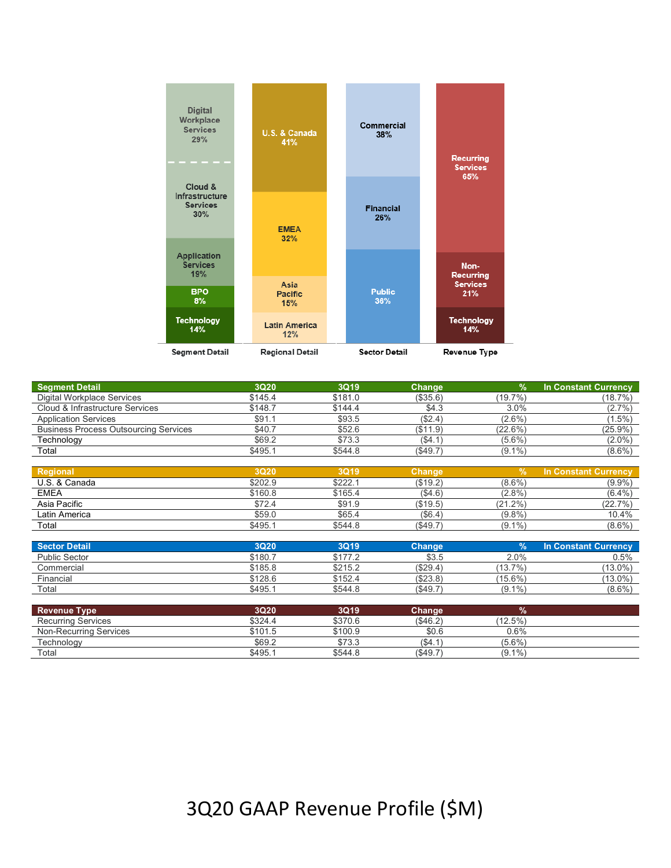

| <b>Segment Detail</b>                        | 3Q20        | 3Q19    | <b>Change</b> | $\%$          | <b>In Constant Currency</b> |
|----------------------------------------------|-------------|---------|---------------|---------------|-----------------------------|
| <b>Digital Workplace Services</b>            | \$145.4     | \$181.0 | (\$35.6)      | (19.7%)       | (18.7%)                     |
| Cloud & Infrastructure Services              | \$148.7     | \$144.4 | \$4.3         | 3.0%          | $(2.7\%)$                   |
| <b>Application Services</b>                  | \$91.1      | \$93.5  | (\$2.4)       | $(2.6\%)$     | $(1.5\%)$                   |
| <b>Business Process Outsourcing Services</b> | \$40.7      | \$52.6  | (\$11.9)      | $(22.6\%)$    | (25.9%)                     |
| Technology                                   | \$69.2      | \$73.3  | ( \$4.1)      | $(5.6\%)$     | $(2.0\%)$                   |
| Total                                        | \$495.1     | \$544.8 | (\$49.7)      | $(9.1\%)$     | $(8.6\%)$                   |
|                                              |             |         |               |               |                             |
| <b>Regional</b>                              | <b>3Q20</b> | 3Q19    | <b>Change</b> | $\frac{9}{6}$ | <b>In Constant Currency</b> |
| U.S. & Canada                                | \$202.9     | \$222.1 | (\$19.2)      | $(8.6\%)$     | $(9.9\%)$                   |
| <b>EMEA</b>                                  | \$160.8     | \$165.4 | (\$4.6)       | $(2.8\%)$     | $(6.4\%)$                   |
| Asia Pacific                                 | \$72.4      | \$91.9  | (\$19.5)      | $(21.2\%)$    | (22.7%)                     |
| Latin America                                | \$59.0      | \$65.4  | (\$6.4)       | $(9.8\%)$     | 10.4%                       |
| Total                                        | \$495.1     | \$544.8 | (\$49.7)      | $(9.1\%)$     | $(8.6\%)$                   |
| <b>Sector Detail</b>                         | 3Q20        | 3Q19    | Change        | $\frac{9}{6}$ | In Constant Currency        |
| <b>Public Sector</b>                         | \$180.7     | \$177.2 | \$3.5         | 2.0%          | 0.5%                        |
| Commercial                                   | \$185.8     | \$215.2 | (\$29.4)      | $(13.7\%)$    | $(13.0\%)$                  |
| Financial                                    | \$128.6     | \$152.4 | (\$23.8)      | $(15.6\%)$    | $(13.0\%)$                  |
| Total                                        | \$495.1     | \$544.8 | (\$49.7)      | $(9.1\%)$     | $(8.6\%)$                   |
|                                              |             |         |               |               |                             |
| <b>Revenue Type</b>                          | 3Q20        | 3Q19    | <b>Change</b> | %             |                             |
| <b>Recurring Services</b>                    | \$324.4     | \$370.6 | (\$46.2)      | $(12.5\%)$    |                             |
| <b>Non-Recurring Services</b>                | \$101.5     | \$100.9 | \$0.6         | 0.6%          |                             |

Technology \$69.2 \$73.3 (\$4.1) (5.6%) Total \$495.1 \$544.8 (\$49.7) (9.1%)

### 3Q20 GAAP Revenue Profile (\$M)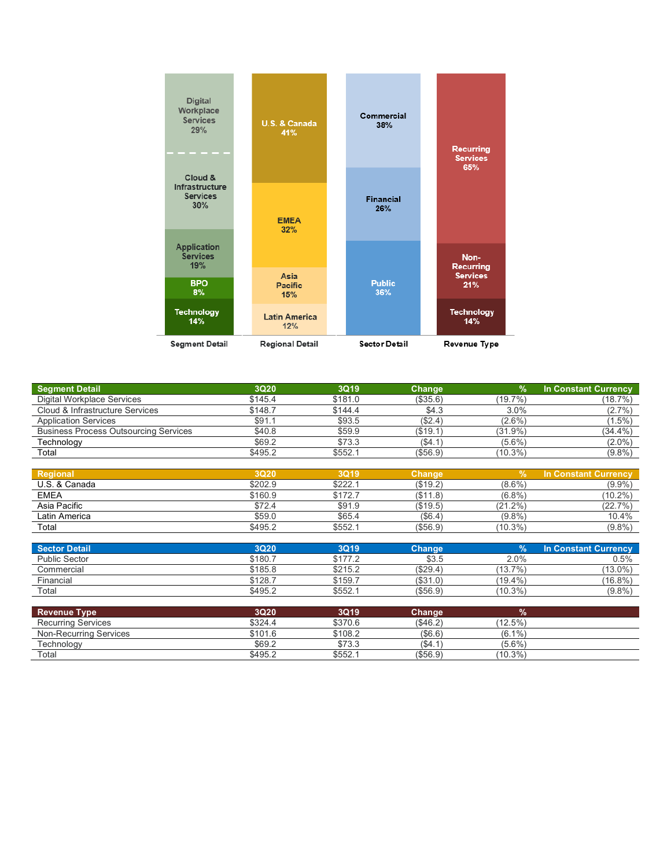

| <b>Segment Detail</b>                        | 3Q20    | 3Q19    | <b>Change</b> | $\%$       | <b>In Constant Currency</b> |
|----------------------------------------------|---------|---------|---------------|------------|-----------------------------|
| Digital Workplace Services                   | \$145.4 | \$181.0 | (\$35.6)      | (19.7%)    | (18.7%)                     |
| Cloud & Infrastructure Services              | \$148.7 | \$144.4 | \$4.3         | 3.0%       | $(2.7\%)$                   |
| <b>Application Services</b>                  | \$91.1  | \$93.5  | (\$2.4)       | $(2.6\%)$  | $(1.5\%)$                   |
| <b>Business Process Outsourcing Services</b> | \$40.8  | \$59.9  | (\$19.1)      | $(31.9\%)$ | $(34.4\%)$                  |
| Technology                                   | \$69.2  | \$73.3  | (\$4.1        | $(5.6\%)$  | $(2.0\%)$                   |
| Total                                        | \$495.2 | \$552.1 | (\$56.9)      | $(10.3\%)$ | $(9.8\%)$                   |
|                                              |         |         |               |            |                             |
| Regional                                     | 3Q20    | 3Q19    | Change        | $\%$       | <b>In Constant Currency</b> |
| U.S. & Canada                                | \$202.9 | \$222.1 | (\$19.2)      | $(8.6\%)$  | $(9.9\%)$                   |
| <b>EMEA</b>                                  | \$160.9 | \$172.7 | (\$11.8)      | $(6.8\%)$  | $(10.2\%)$                  |
| Asia Pacific                                 | \$72.4  | \$91.9  | (\$19.5)      | $(21.2\%)$ | (22.7%)                     |
| Latin America                                | \$59.0  | \$65.4  | (\$6.4)       | $(9.8\%)$  | 10.4%                       |
| Total                                        | \$495.2 | \$552.1 | ( \$56.9)     | $(10.3\%)$ | $(9.8\%)$                   |

| Sector Detail        | 3Q20    | <b>3Q19</b> | Chanɑe    | 70         | <b>In Constant Currency</b> |
|----------------------|---------|-------------|-----------|------------|-----------------------------|
| <b>Public Sector</b> | \$180.7 | \$177.2     | \$3.5     | 2.0%       | 0.5%                        |
| Commercial           | \$185.8 | \$215.2     | (S29.4)   | (13.7%)    | $(13.0\%$                   |
| Financial            | \$128.7 | \$159.7     | (S31.0)   | $(19.4\%)$ | $(16.8\%)$                  |
| Total                | \$495.2 | \$552.7     | ( \$56.9) | $(10.3\%)$ | (9.8%                       |

| <b>Revenue Type</b>       | 3Q20'   | 3Q19    | Change    |            |  |
|---------------------------|---------|---------|-----------|------------|--|
| <b>Recurring Services</b> | \$324.4 | \$370.6 | ( \$46.2) | $(12.5\%)$ |  |
| Non-Recurring Services    | \$101.6 | \$108.2 | (\$6.6)   | $(6.1\%)$  |  |
| Technology                | \$69.2  | \$73.3  | (S4.1)    | $(5.6\%)$  |  |
| Total                     | \$495.2 | \$552.  | ( \$56.9) | $(10.3\%)$ |  |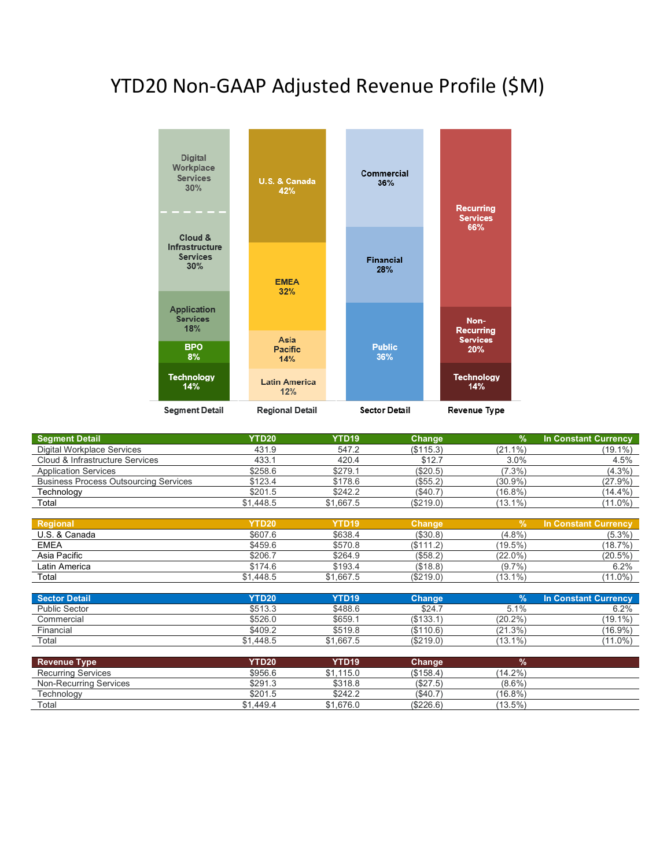### YTD20 Non-GAAP Adjusted Revenue Profile (\$M)



| <b>Segment Detail</b>                        | <b>YTD20</b>      | YTD <sub>19</sub> | Change        | $\frac{9}{6}$ | <b>In Constant Currency</b> |
|----------------------------------------------|-------------------|-------------------|---------------|---------------|-----------------------------|
| <b>Digital Workplace Services</b>            | 431.9             | 547.2             | (\$115.3)     | $(21.1\%)$    | $(19.1\%)$                  |
| Cloud & Infrastructure Services              | 433.1             | 420.4             | \$12.7        | 3.0%          | 4.5%                        |
| <b>Application Services</b>                  | \$258.6           | \$279.1           | (\$20.5)      | $(7.3\%)$     | $(4.3\%)$                   |
| <b>Business Process Outsourcing Services</b> | \$123.4           | \$178.6           | (\$55.2)      | $(30.9\%)$    | $(27.9\%)$                  |
| Technology                                   | \$201.5           | \$242.2           | (\$40.7)      | $(16.8\%)$    | $(14.4\%)$                  |
| Total                                        | \$1,448.5         | \$1,667.5         | (\$219.0)     | $(13.1\%)$    | $(11.0\%)$                  |
|                                              |                   |                   |               |               |                             |
| Regional                                     | <b>YTD20</b>      | YTD <sub>19</sub> | <b>Change</b> | 以             | <b>In Constant Currency</b> |
| U.S. & Canada                                | \$607.6           | \$638.4           | (\$30.8)      | $(4.8\%)$     | $(5.3\%)$                   |
| <b>EMEA</b>                                  | \$459.6           | \$570.8           | (\$111.2)     | $(19.5\%)$    | (18.7%)                     |
| Asia Pacific                                 | \$206.7           | \$264.9           | (\$58.2)      | $(22.0\%)$    | $(20.5\%)$                  |
| Latin America                                | \$174.6           | \$193.4           | (\$18.8)      | $(9.7\%)$     | 6.2%                        |
| Total                                        | \$1,448.5         | \$1,667.5         | (\$219.0)     | $(13.1\%)$    | $(11.0\%)$                  |
|                                              |                   |                   |               |               |                             |
| <b>Sector Detail</b>                         | <b>YTD20</b>      | YTD <sub>19</sub> | <b>Change</b> | $\frac{9}{6}$ | <b>In Constant Currency</b> |
| <b>Public Sector</b>                         | \$513.3           | \$488.6           | \$24.7        | 5.1%          | 6.2%                        |
| Commercial                                   | \$526.0           | \$659.1           | (\$133.1)     | $(20.2\%)$    | $(19.1\%)$                  |
| Financial                                    | \$409.2           | \$519.8           | (\$110.6)     | (21.3%)       | $(16.9\%)$                  |
| Total                                        | \$1,448.5         | \$1,667.5         | (\$219.0)     | $(13.1\%)$    | $(11.0\%)$                  |
|                                              |                   |                   |               |               |                             |
| <b>Revenue Type</b>                          | YTD <sub>20</sub> | YTD <sub>19</sub> | <b>Change</b> | %             |                             |
| <b>Recurring Services</b>                    | \$956.6           | \$1,115.0         | (\$158.4)     | $(14.2\%)$    |                             |
| <b>Non-Recurring Services</b>                | \$291.3           | \$318.8           | (\$27.5)      | $(8.6\%)$     |                             |
| Technology                                   | \$201.5           | \$242.2           | (\$40.7)      | $(16.8\%)$    |                             |
| Total                                        | \$1,449.4         | \$1,676.0         | (\$226.6)     | $(13.5\%)$    |                             |